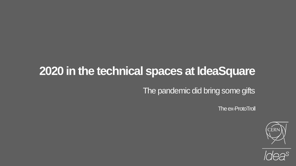### **2020 in the technical spaces at IdeaSquare**

The pandemic did bring some gifts

The ex-ProtoTroll



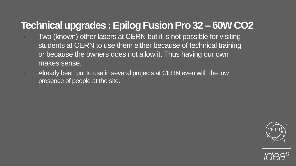#### **Technical upgrades : EpilogFusion Pro 32 – 60W CO2**

- Two (known) other lasers at CERN but it is not possible for visiting students at CERN to use them either because of technical training or because the owners does not allow it. Thus having our own makes sense.
	- Already been put to use in several projects at CERN even with the low presence of people at the site.



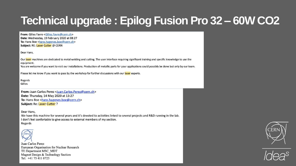# **Technical upgrade : Epilog Fusion Pro 32 – 60W CO2**

From: Gilles Favre < Gilles. Favre@cern.ch> Date: Wednesday, 19 February 2020 at 08:27 To: Hans Boe <hans.hagenes.boe@cern.ch> Subject: RE: Laser Cutter @ CERN

Dear Hans,

Our laser machines are dedicated to metal welding and cutting. The user interface requiring significant training and specific knowledge to use the equipment.

You are welcome if you want to visit our installations. Production of metallic parts for your applications could possibly be done but only by our team.

Please let me know if you want to pass by the workshop for further discussions with our laser experts.

Regards Gillles

From: Juan Carlos Perez < Juan.Carlos.Perez@cern.ch> Date: Thursday, 14 May 2020 at 13:27 To: Hans Boe <hans.hagenes.boe@cern.ch> **Subject: Re: Laser Cutter ?** 

Dear Hans,

We have this machine for several years and it's devoted to activities linked to several projects and R&D running in the lab. I don't feel confortable to give access to external members of my section. Regards



Juan Carlos Perez European Organisation for Nuclear Research TE Department MSC MDT Magnet Design & Technology Section Tel: +41 75 411 0725



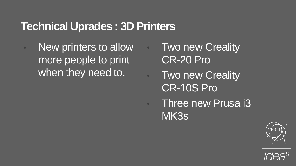#### **Technical Uprades : 3D Printers**

- New printers to allow more people to print when they need to.
- Two new Creality CR-20 Pro
	- **Two new Creality** CR-10S Pro
- **Three new Prusa i3** MK3s



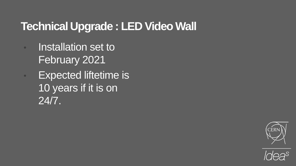### **Technical Upgrade : LED Video Wall**

- **Installation set to** February 2021
- **Expected liftetime is** 10 years if it is on 24/7.



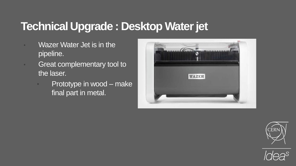### **Technical Upgrade : Desktop Water jet**

- Wazer Water Jet is in the pipeline.
- **Great complementary tool to** the laser.
	- Prototype in wood make final part in metal.





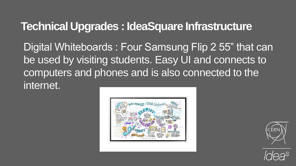#### **Technical Upgrades : IdeaSquare Infrastructure**

Digital Whiteboards : Four Samsung Flip 2 55" that can be used by visiting students. Easy UI and connects to computers and phones and is also connected to the internet.





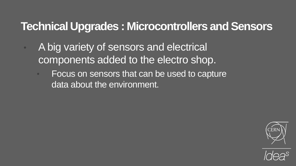#### **Technical Upgrades : Microcontrollers and Sensors**

- A big variety of sensors and electrical components added to the electro shop.
	- Focus on sensors that can be used to capture data about the environment.